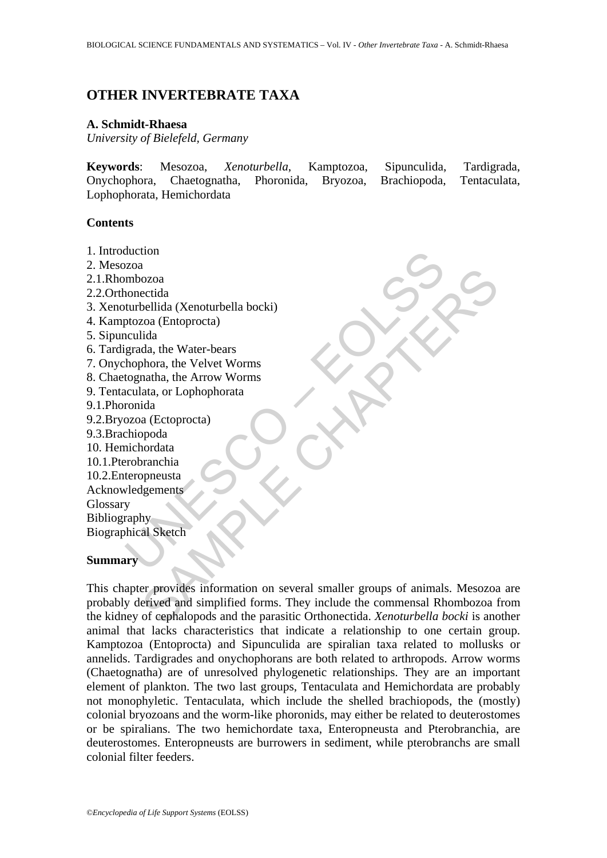# **OTHER INVERTEBRATE TAXA**

#### **A. Schmidt-Rhaesa**

*University of Bielefeld, Germany* 

**Keywords**: Mesozoa, *Xenoturbella*, Kamptozoa, Sipunculida, Tardigrada, Onychophora, Chaetognatha, Phoronida, Bryozoa, Brachiopoda, Tentaculata, Lophophorata, Hemichordata

#### **Contents**

- 1. Introduction
- 2. Mesozoa
- 2.1.Rhombozoa
- 2.2.Orthonectida
- Buzza<br>
Mehozza<br>
mhozza<br>
nonectida<br>
turbellida (Xenoturbella bocki)<br>
ptozza (Entoprocta)<br>
ptozza (Entoprocta)<br>
regrada, the Water-bears<br>
tognatha, the Nater-bears<br>
tognatha, the New Worms<br>
cola accontrol<br>
control descriptio 3. Xenoturbellida (Xenoturbella bocki)
- 4. Kamptozoa (Entoprocta)
- 5. Sipunculida
- 6. Tardigrada, the Water-bears
- 7. Onychophora, the Velvet Worms
- 8. Chaetognatha, the Arrow Worms
- 9. Tentaculata, or Lophophorata
- 9.1.Phoronida
- 9.2.Bryozoa (Ectoprocta)
- 9.3.Brachiopoda
- 10. Hemichordata
- 10.1.Pterobranchia
- 10.2.Enteropneusta
- Acknowledgements
- Glossary

Bibliography Biographical Sketch

### **Summary**

Chapellida (Xenoturbella bocki)<br>
ozoa (Entoprocta)<br>
cha cha (Neoter Worms<br>
anatha, the Water-bears<br>
alida<br>
da, the Water-bears<br>
alida<br>
da, the Water-bears<br>
alida, or Lophophorata<br>
ida<br>
or Lectoprocta)<br>
or and a (Ecoprocta) This chapter provides information on several smaller groups of animals. Mesozoa are probably derived and simplified forms. They include the commensal Rhombozoa from the kidney of cephalopods and the parasitic Orthonectida. *Xenoturbella bocki* is another animal that lacks characteristics that indicate a relationship to one certain group. Kamptozoa (Entoprocta) and Sipunculida are spiralian taxa related to mollusks or annelids. Tardigrades and onychophorans are both related to arthropods. Arrow worms (Chaetognatha) are of unresolved phylogenetic relationships. They are an important element of plankton. The two last groups, Tentaculata and Hemichordata are probably not monophyletic. Tentaculata, which include the shelled brachiopods, the (mostly) colonial bryozoans and the worm-like phoronids, may either be related to deuterostomes or be spiralians. The two hemichordate taxa, Enteropneusta and Pterobranchia, are deuterostomes. Enteropneusts are burrowers in sediment, while pterobranchs are small colonial filter feeders.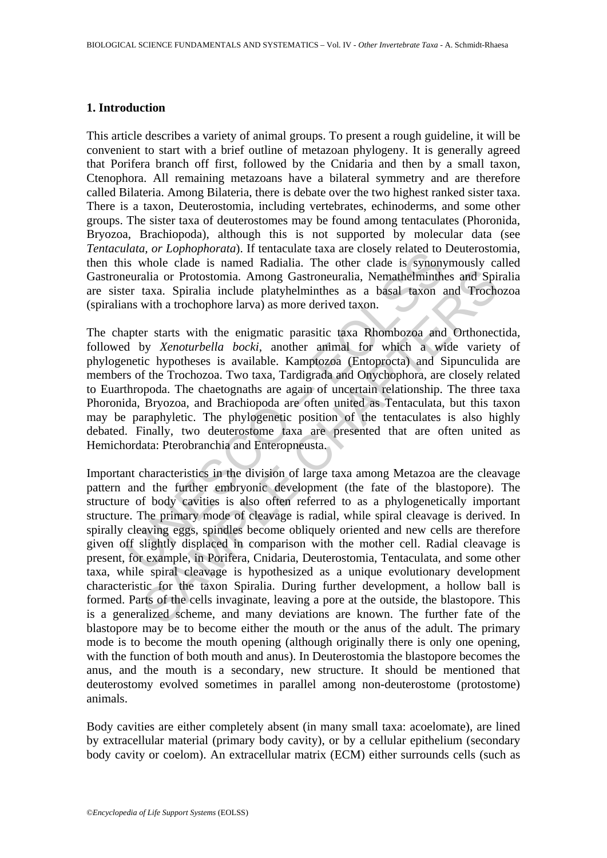### **1. Introduction**

This article describes a variety of animal groups. To present a rough guideline, it will be convenient to start with a brief outline of metazoan phylogeny. It is generally agreed that Porifera branch off first, followed by the Cnidaria and then by a small taxon, Ctenophora. All remaining metazoans have a bilateral symmetry and are therefore called Bilateria. Among Bilateria, there is debate over the two highest ranked sister taxa. There is a taxon, Deuterostomia, including vertebrates, echinoderms, and some other groups. The sister taxa of deuterostomes may be found among tentaculates (Phoronida, Bryozoa, Brachiopoda), although this is not supported by molecular data (see *Tentaculata, or Lophophorata*). If tentaculate taxa are closely related to Deuterostomia, then this whole clade is named Radialia. The other clade is synonymously called Gastroneuralia or Protostomia. Among Gastroneuralia, Nemathelminthes and Spiralia are sister taxa. Spiralia include platyhelminthes as a basal taxon and Trochozoa (spiralians with a trochophore larva) as more derived taxon.

mand, or Lophnoruan). In tentacture taxa are closely retacted to<br>is whole clade is named Radialia. The other clade is synony<br>euralia or Protostomia. Among Gastroneuralia, Nemathelminther<br>r taxa. Spiralia include platyhelmi The chapter starts with the enigmatic parasitic taxa Rhombozoa and Orthonectida, followed by *Xenoturbella bocki*, another animal for which a wide variety of phylogenetic hypotheses is available. Kamptozoa (Entoprocta) and Sipunculida are members of the Trochozoa. Two taxa, Tardigrada and Onychophora, are closely related to Euarthropoda. The chaetognaths are again of uncertain relationship. The three taxa Phoronida, Bryozoa, and Brachiopoda are often united as Tentaculata, but this taxon may be paraphyletic. The phylogenetic position of the tentaculates is also highly debated. Finally, two deuterostome taxa are presented that are often united as Hemichordata: Pterobranchia and Enteropneusta.

alia or Protostomia. Among Gastroneuralia, Nemathelminthes and Spirata. Spiralia include platyhelminthes as a basal taxon and Trochd with a trochophore larva) as more derived taxon.<br>
Fr starts with the enigmatic parasitic Important characteristics in the division of large taxa among Metazoa are the cleavage pattern and the further embryonic development (the fate of the blastopore). The structure of body cavities is also often referred to as a phylogenetically important structure. The primary mode of cleavage is radial, while spiral cleavage is derived. In spirally cleaving eggs, spindles become obliquely oriented and new cells are therefore given off slightly displaced in comparison with the mother cell. Radial cleavage is present, for example, in Porifera, Cnidaria, Deuterostomia, Tentaculata, and some other taxa, while spiral cleavage is hypothesized as a unique evolutionary development characteristic for the taxon Spiralia. During further development, a hollow ball is formed. Parts of the cells invaginate, leaving a pore at the outside, the blastopore. This is a generalized scheme, and many deviations are known. The further fate of the blastopore may be to become either the mouth or the anus of the adult. The primary mode is to become the mouth opening (although originally there is only one opening, with the function of both mouth and anus). In Deuterostomia the blastopore becomes the anus, and the mouth is a secondary, new structure. It should be mentioned that deuterostomy evolved sometimes in parallel among non-deuterostome (protostome) animals.

Body cavities are either completely absent (in many small taxa: acoelomate), are lined by extracellular material (primary body cavity), or by a cellular epithelium (secondary body cavity or coelom). An extracellular matrix (ECM) either surrounds cells (such as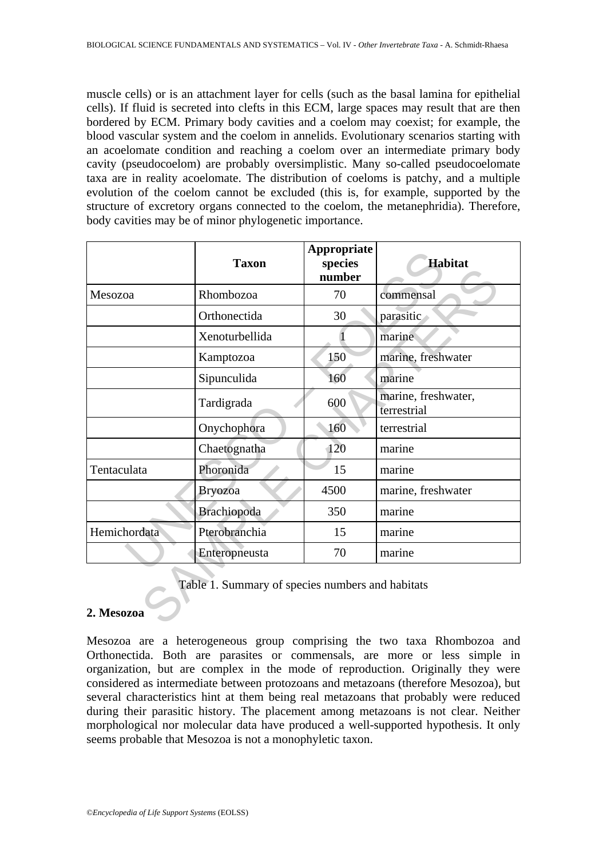muscle cells) or is an attachment layer for cells (such as the basal lamina for epithelial cells). If fluid is secreted into clefts in this ECM, large spaces may result that are then bordered by ECM. Primary body cavities and a coelom may coexist; for example, the blood vascular system and the coelom in annelids. Evolutionary scenarios starting with an acoelomate condition and reaching a coelom over an intermediate primary body cavity (pseudocoelom) are probably oversimplistic. Many so-called pseudocoelomate taxa are in reality acoelomate. The distribution of coeloms is patchy, and a multiple evolution of the coelom cannot be excluded (this is, for example, supported by the structure of excretory organs connected to the coelom, the metanephridia). Therefore, body cavities may be of minor phylogenetic importance.

|              | <b>Taxon</b>                                     | Appropriate<br>species<br>number | <b>Habitat</b>                     |
|--------------|--------------------------------------------------|----------------------------------|------------------------------------|
| Mesozoa      | Rhombozoa                                        | 70                               | commensal                          |
|              | Orthonectida                                     | 30                               | parasitic                          |
|              | Xenoturbellida                                   |                                  | marine                             |
|              | Kamptozoa                                        | 150                              | marine, freshwater                 |
|              | Sipunculida                                      | 160                              | marine                             |
|              | Tardigrada                                       | 600                              | marine, freshwater,<br>terrestrial |
|              | Onychophora                                      | 160                              | terrestrial                        |
|              | Chaetognatha                                     | 120                              | marine                             |
| Tentaculata  | Phoronida                                        | 15                               | marine                             |
|              | <b>Bryozoa</b>                                   | 4500                             | marine, freshwater                 |
|              | Brachiopoda                                      | 350                              | marine                             |
| Hemichordata | Pterobranchia                                    | 15                               | marine                             |
|              | Enteropneusta                                    | 70                               | marine                             |
| 2. Mesozoa   | Table 1. Summary of species numbers and habitats |                                  |                                    |

# **2. Mesozoa**

Mesozoa are a heterogeneous group comprising the two taxa Rhombozoa and Orthonectida. Both are parasites or commensals, are more or less simple in organization, but are complex in the mode of reproduction. Originally they were considered as intermediate between protozoans and metazoans (therefore Mesozoa), but several characteristics hint at them being real metazoans that probably were reduced during their parasitic history. The placement among metazoans is not clear. Neither morphological nor molecular data have produced a well-supported hypothesis. It only seems probable that Mesozoa is not a monophyletic taxon.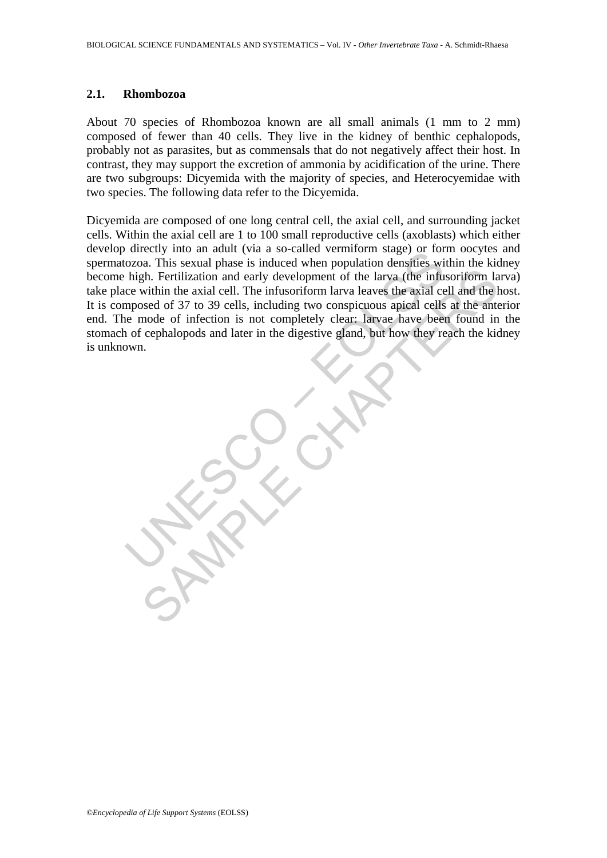#### **2.1. Rhombozoa**

About 70 species of Rhombozoa known are all small animals (1 mm to 2 mm) composed of fewer than 40 cells. They live in the kidney of benthic cephalopods, probably not as parasites, but as commensals that do not negatively affect their host. In contrast, they may support the excretion of ammonia by acidification of the urine. There are two subgroups: Dicyemida with the majority of species, and Heterocyemidae with two species. The following data refer to the Dicyemida.

unctuy into all adult (Via a so-tanet vention) stage) on for<br>ozoa. This sexual phase is induced when population densities wi<br>high. Fertilization and early development of the larva (the infu<br>ce within the axial cell. The in The Fertilization and early development of the larva (the infusoritorm law<br>within the axial cell. The infusoriform larva leaves the axial cell and the best<br>within the axial cell. The infusoriform larva leaves the axial cel Dicyemida are composed of one long central cell, the axial cell, and surrounding jacket cells. Within the axial cell are 1 to 100 small reproductive cells (axoblasts) which either develop directly into an adult (via a so-called vermiform stage) or form oocytes and spermatozoa. This sexual phase is induced when population densities within the kidney become high. Fertilization and early development of the larva (the infusoriform larva) take place within the axial cell. The infusoriform larva leaves the axial cell and the host. It is composed of 37 to 39 cells, including two conspicuous apical cells at the anterior end. The mode of infection is not completely clear: larvae have been found in the stomach of cephalopods and later in the digestive gland, but how they reach the kidney is unknown.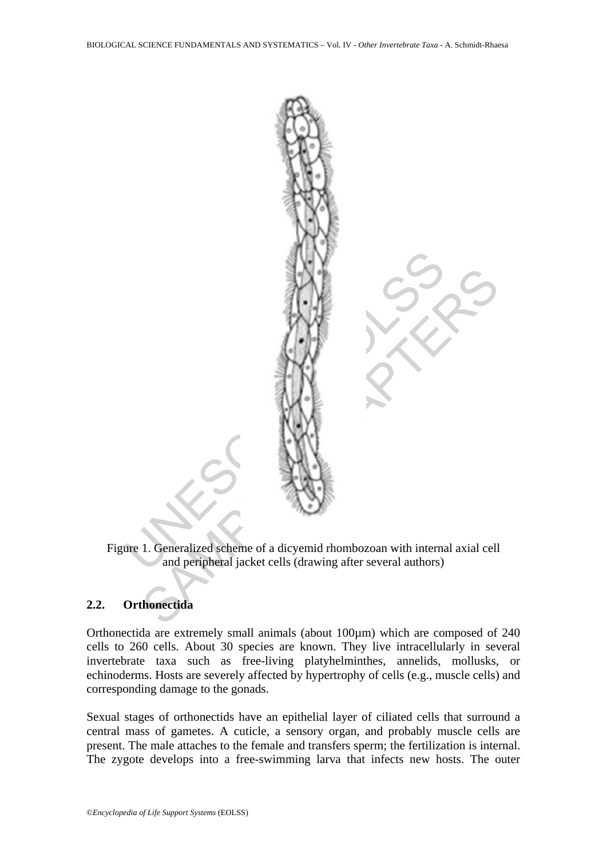

Figure 1. Generalized scheme of a dicyemid rhombozoan with internal axial cell and peripheral jacket cells (drawing after several authors)

# **2.2. Orthonectida**

Orthonectida are extremely small animals (about 100µm) which are composed of 240 cells to 260 cells. About 30 species are known. They live intracellularly in several invertebrate taxa such as free-living platyhelminthes, annelids, mollusks, or echinoderms. Hosts are severely affected by hypertrophy of cells (e.g., muscle cells) and corresponding damage to the gonads.

Sexual stages of orthonectids have an epithelial layer of ciliated cells that surround a central mass of gametes. A cuticle, a sensory organ, and probably muscle cells are present. The male attaches to the female and transfers sperm; the fertilization is internal. The zygote develops into a free-swimming larva that infects new hosts. The outer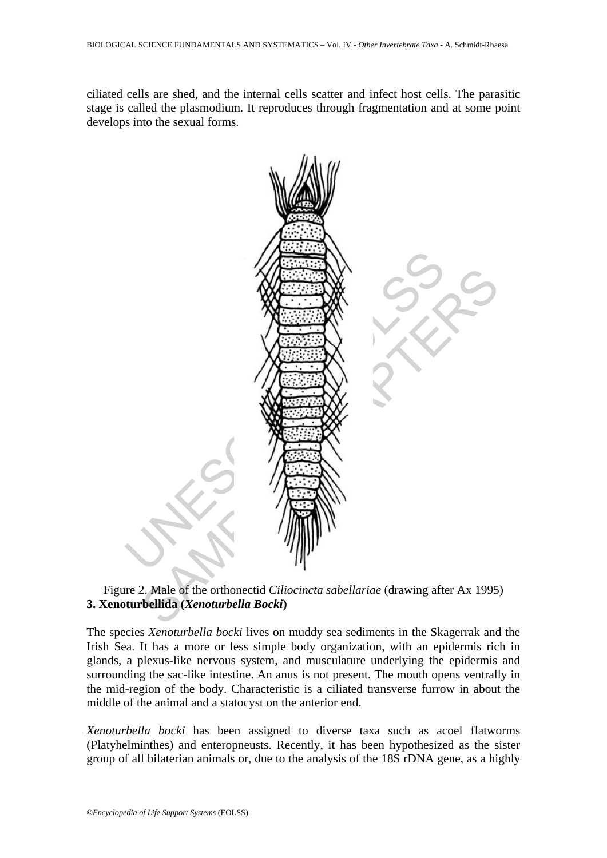ciliated cells are shed, and the internal cells scatter and infect host cells. The parasitic stage is called the plasmodium. It reproduces through fragmentation and at some point develops into the sexual forms.



## Figure 2. Male of the orthonectid *Ciliocincta sabellariae* (drawing after Ax 1995) **3. Xenoturbellida (***Xenoturbella Bocki***)**

The species *Xenoturbella bocki* lives on muddy sea sediments in the Skagerrak and the Irish Sea. It has a more or less simple body organization, with an epidermis rich in glands, a plexus-like nervous system, and musculature underlying the epidermis and surrounding the sac-like intestine. An anus is not present. The mouth opens ventrally in the mid-region of the body. Characteristic is a ciliated transverse furrow in about the middle of the animal and a statocyst on the anterior end.

*Xenoturbella bocki* has been assigned to diverse taxa such as acoel flatworms (Platyhelminthes) and enteropneusts. Recently, it has been hypothesized as the sister group of all bilaterian animals or, due to the analysis of the 18S rDNA gene, as a highly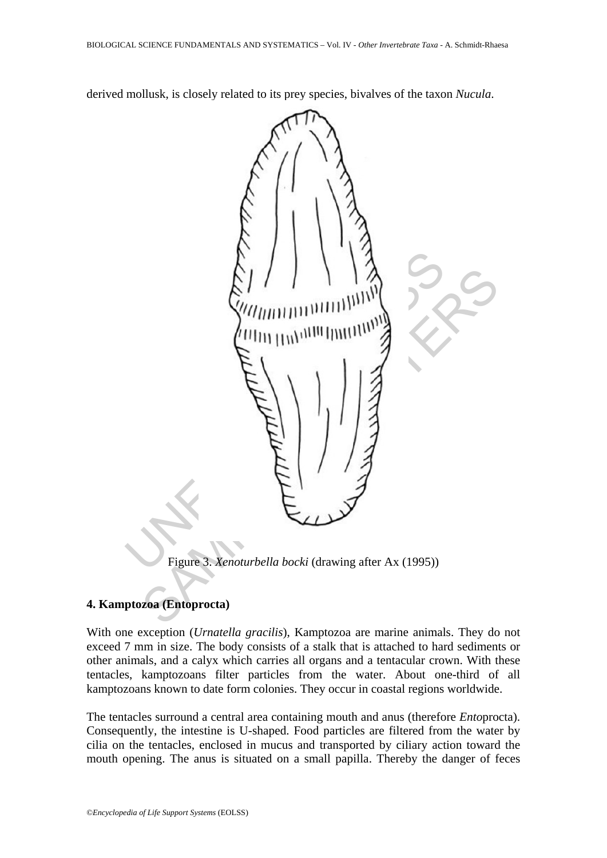derived mollusk, is closely related to its prey species, bivalves of the taxon *Nucula*.



Figure 3. *Xenoturbella bocki* (drawing after Ax (1995))

### **4. Kamptozoa (Entoprocta)**

With one exception (*Urnatella gracilis*), Kamptozoa are marine animals. They do not exceed 7 mm in size. The body consists of a stalk that is attached to hard sediments or other animals, and a calyx which carries all organs and a tentacular crown. With these tentacles, kamptozoans filter particles from the water. About one-third of all kamptozoans known to date form colonies. They occur in coastal regions worldwide.

The tentacles surround a central area containing mouth and anus (therefore *Ento*procta). Consequently, the intestine is U-shaped. Food particles are filtered from the water by cilia on the tentacles, enclosed in mucus and transported by ciliary action toward the mouth opening. The anus is situated on a small papilla. Thereby the danger of feces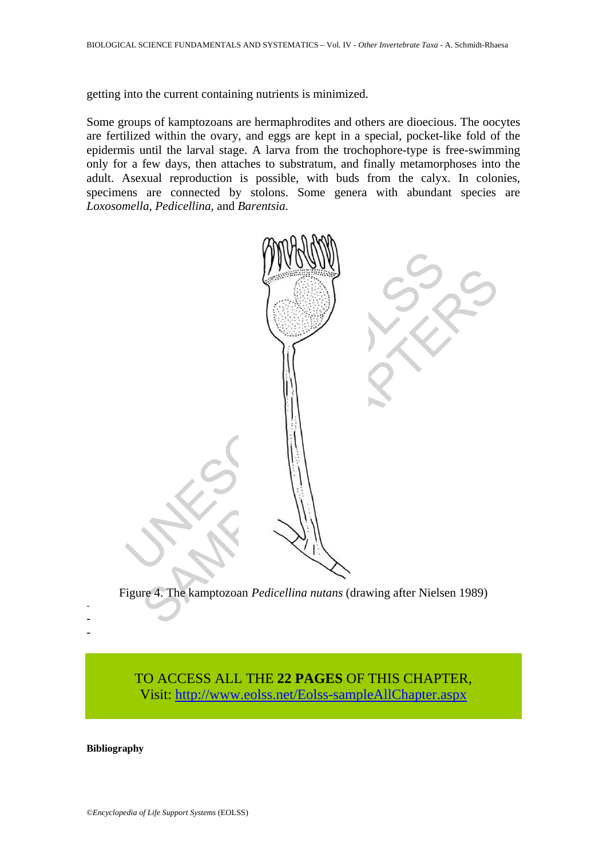getting into the current containing nutrients is minimized.

Some groups of kamptozoans are hermaphrodites and others are dioecious. The oocytes are fertilized within the ovary, and eggs are kept in a special, pocket-like fold of the epidermis until the larval stage. A larva from the trochophore-type is free-swimming only for a few days, then attaches to substratum, and finally metamorphoses into the adult. Asexual reproduction is possible, with buds from the calyx. In colonies, specimens are connected by stolons. Some genera with abundant species are *Loxosomella*, *Pedicellina,* and *Barentsia*.



Figure 4. The kamptozoan *Pedicellina nutans* (drawing after Nielsen 1989)

TO ACCESS ALL THE **22 PAGES** OF THIS CHAPTER, Visit[: http://www.eolss.net/Eolss-sampleAllChapter.aspx](https://www.eolss.net/ebooklib/sc_cart.aspx?File=E6-71-07-08)

**Bibliography** 

- - -